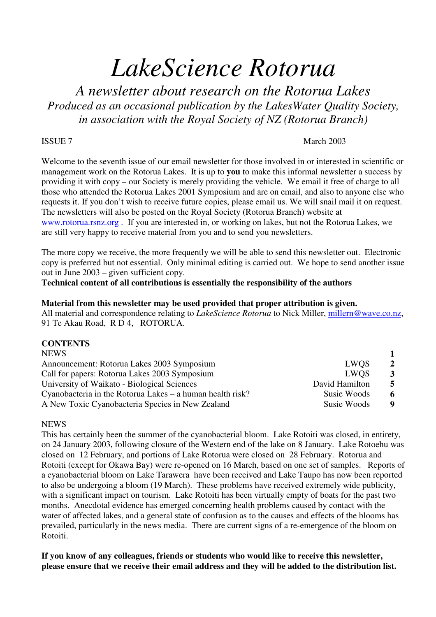# *LakeScience Rotorua*

*A newsletter about research on the Rotorua Lakes Produced as an occasional publication by the LakesWater Quality Society, in association with the Royal Society of NZ (Rotorua Branch)*

#### ISSUE 7 March 2003

Welcome to the seventh issue of our email newsletter for those involved in or interested in scientific or management work on the Rotorua Lakes. It is up to **you** to make this informal newsletter a success by providing it with copy – our Society is merely providing the vehicle. We email it free of charge to all those who attended the Rotorua Lakes 2001 Symposium and are on email, and also to anyone else who requests it. If you don't wish to receive future copies, please email us. We will snail mail it on request. The newsletters will also be posted on the Royal Society (Rotorua Branch) website at www.rotorua.rsnz.org . If you are interested in, or working on lakes, but not the Rotorua Lakes, we are still very happy to receive material from you and to send you newsletters.

The more copy we receive, the more frequently we will be able to send this newsletter out. Electronic copy is preferred but not essential. Only minimal editing is carried out. We hope to send another issue out in June 2003 – given sufficient copy.

**Technical content of all contributions is essentially the responsibility of the authors**

#### **Material from this newsletter may be used provided that proper attribution is given.**

All material and correspondence relating to *LakeScience Rotorua* to Nick Miller, millern@wave.co.nz, 91 Te Akau Road, R D 4, ROTORUA.

#### **CONTENTS**

| LWOS           | $\overline{2}$ |
|----------------|----------------|
| LWOS           | 3              |
| David Hamilton | -5             |
| Susie Woods    | -6             |
| Susie Woods    | -9             |
|                |                |

#### NEWS

This has certainly been the summer of the cyanobacterial bloom. Lake Rotoiti was closed, in entirety, on 24 January 2003, following closure of the Western end of the lake on 8 January. Lake Rotoehu was closed on 12 February, and portions of Lake Rotorua were closed on 28 February. Rotorua and Rotoiti (except for Okawa Bay) were re-opened on 16 March, based on one set of samples. Reports of a cyanobacterial bloom on Lake Tarawera have been received and Lake Taupo has now been reported to also be undergoing a bloom (19 March). These problems have received extremely wide publicity, with a significant impact on tourism. Lake Rotoiti has been virtually empty of boats for the past two months. Anecdotal evidence has emerged concerning health problems caused by contact with the water of affected lakes, and a general state of confusion as to the causes and effects of the blooms has prevailed, particularly in the news media. There are current signs of a re-emergence of the bloom on Rotoiti.

**If you know of any colleagues, friends or students who would like to receive this newsletter, please ensure that we receive their email address and they will be added to the distribution list.**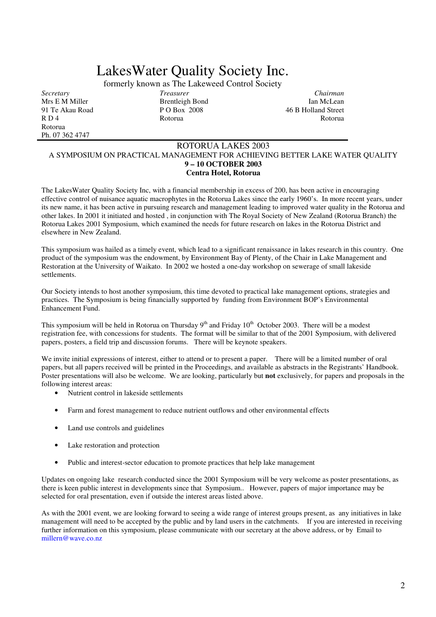# LakesWater Quality Society Inc.

formerly known as The Lakeweed Control Society

Mrs E M Miller Brentleigh Bond<br>
91 Te Akau Road<br>
92 Te Akau Road<br>
92 Te Akau Road<br>
92 Te Akau Road<br>
92 Te Akau Road<br>
92 Te Akau Road<br>
92 Te Akau Road<br>
92 Te Akau Road<br>
92 Te Akau Road<br>
92 Te Akau Road<br>
92 Te Akau Road<br>
92 91 Te Akau Road P O Box 2008 46 B Holland Street<br>R D 4 Rotorua R D 4 Rotorua Rotorua Rotorua Rotorua Rotorua Rotorua Rotorua Rotorua Rotorua Rotorua Rotorua Rotorua Rotorua Rotorua Ph. 07 362 4747

*Secretary Treasurer Chairman*

#### ROTORUA LAKES 2003 A SYMPOSIUM ON PRACTICAL MANAGEMENT FOR ACHIEVING BETTER LAKE WATER QUALITY **9 – 10 OCTOBER 2003 Centra Hotel, Rotorua**

The LakesWater Quality Society Inc, with a financial membership in excess of 200, has been active in encouraging effective control of nuisance aquatic macrophytes in the Rotorua Lakes since the early 1960's. In more recent years, under its new name, it has been active in pursuing research and management leading to improved water quality in the Rotorua and other lakes. In 2001 it initiated and hosted , in conjunction with The Royal Society of New Zealand (Rotorua Branch) the Rotorua Lakes 2001 Symposium, which examined the needs for future research on lakes in the Rotorua District and elsewhere in New Zealand.

This symposium was hailed as a timely event, which lead to a significant renaissance in lakes research in this country. One product of the symposium was the endowment, by Environment Bay of Plenty, of the Chair in Lake Management and Restoration at the University of Waikato. In 2002 we hosted a one-day workshop on sewerage of small lakeside settlements.

Our Society intends to host another symposium, this time devoted to practical lake management options, strategies and practices. The Symposium is being financially supported by funding from Environment BOP's Environmental Enhancement Fund.

This symposium will be held in Rotorua on Thursday  $9<sup>th</sup>$  and Friday  $10<sup>th</sup>$  October 2003. There will be a modest registration fee, with concessions for students. The format will be similar to that of the 2001 Symposium, with delivered papers, posters, a field trip and discussion forums. There will be keynote speakers.

We invite initial expressions of interest, either to attend or to present a paper. There will be a limited number of oral papers, but all papers received will be printed in the Proceedings, and available as abstracts in the Registrants' Handbook. Poster presentations will also be welcome. We are looking, particularly but **not** exclusively, for papers and proposals in the following interest areas:

- Nutrient control in lakeside settlements
- Farm and forest management to reduce nutrient outflows and other environmental effects
- Land use controls and guidelines
- Lake restoration and protection
- Public and interest-sector education to promote practices that help lake management

Updates on ongoing lake research conducted since the 2001 Symposium will be very welcome as poster presentations, as there is keen public interest in developments since that Symposium.. However, papers of major importance may be selected for oral presentation, even if outside the interest areas listed above.

As with the 2001 event, we are looking forward to seeing a wide range of interest groups present, as any initiatives in lake management will need to be accepted by the public and by land users in the catchments. If you are interested in receiving further information on this symposium, please communicate with our secretary at the above address, or by Email to millern@wave.co.nz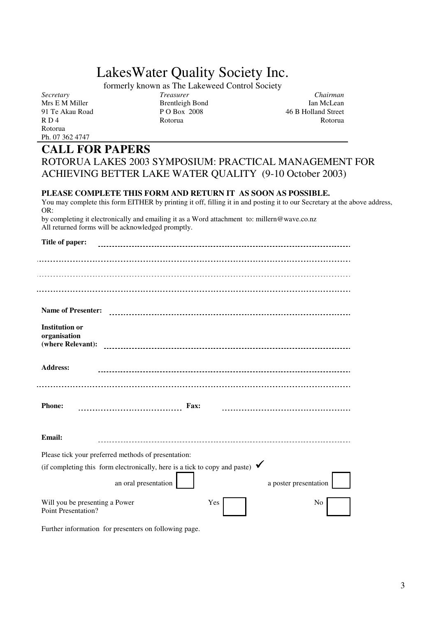## LakesWater Quality Society Inc.

formerly known as The Lakeweed Control Society<br>  $T { \emph{reasure} }$ 

*Secretary Treasurer Chairman* Mrs E M Miller Brentleigh Bond<br>
91 Te Akau Road<br>
91 Te Akau Road<br>
92 O Box 2008<br>
93 O Box 2008 91 Te Akau Road P O Box 2008 46 B Holland Street<br>R D 4 Rotorua R O 4 R O 4 R O 4 R O 4 R O 4 R O 4 R O 4 R O 4 R O 4 R O 4 R O 4 R O 4 R O 4 R O 4 R O 4 R O 4 R O 4 R O 4 R O 4 R O 4 R O 4 R O 4 R O 4 R O 4 R O 4 R O 4 R O R D 4 Rotorua Rotorua Rotorua Rotorua Rotorua Rotorua Rotorua Rotorua Rotorua Rotorua Rotorua Rotorua Rotorua Rotorua Ph. 07 362 4747

**Title of paper:**

### **CALL FOR PAPERS**

| ROTORUA LAKES 2003 SYMPOSIUM: PRACTICAL MANAGEMENT FOR  |  |
|---------------------------------------------------------|--|
| ACHIEVING BETTER LAKE WATER QUALITY (9-10 October 2003) |  |

#### **PLEASE COMPLETE THIS FORM AND RETURN IT AS SOON AS POSSIBLE.**

You may complete this form EITHER by printing it off, filling it in and posting it to our Secretary at the above address, OR:

by completing it electronically and emailing it as a Word attachment to: millern@wave.co.nz All returned forms will be acknowledged promptly.

| The of paper:                                                                           |                       |
|-----------------------------------------------------------------------------------------|-----------------------|
|                                                                                         |                       |
|                                                                                         |                       |
|                                                                                         |                       |
| <b>Name of Presenter:</b>                                                               |                       |
| <b>Institution or</b><br>organisation<br>(where Relevant):                              |                       |
|                                                                                         |                       |
| <b>Address:</b>                                                                         |                       |
|                                                                                         |                       |
| <b>Phone:</b><br><b>Fax:</b>                                                            |                       |
|                                                                                         |                       |
| Email:                                                                                  |                       |
| Please tick your preferred methods of presentation:                                     |                       |
| (if completing this form electronically, here is a tick to copy and paste) $\checkmark$ |                       |
| an oral presentation                                                                    | a poster presentation |
| Will you be presenting a Power<br><b>Point Presentation?</b>                            | Yes<br>No             |

Further information for presenters on following page.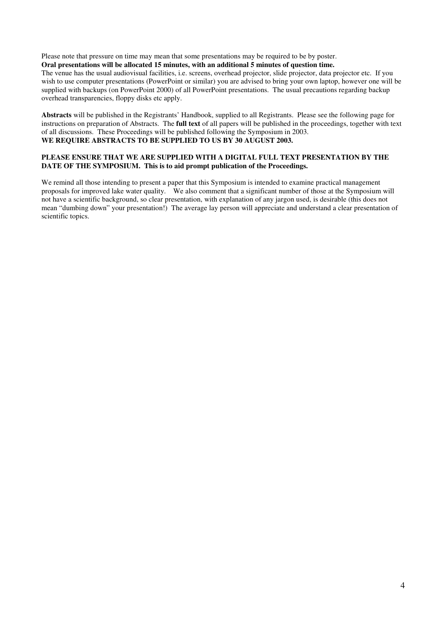Please note that pressure on time may mean that some presentations may be required to be by poster. **Oral presentations will be allocated 15 minutes, with an additional 5 minutes of question time.**

The venue has the usual audiovisual facilities, i.e. screens, overhead projector, slide projector, data projector etc. If you wish to use computer presentations (PowerPoint or similar) you are advised to bring your own laptop, however one will be supplied with backups (on PowerPoint 2000) of all PowerPoint presentations. The usual precautions regarding backup overhead transparencies, floppy disks etc apply.

**Abstracts** will be published in the Registrants' Handbook, supplied to all Registrants. Please see the following page for instructions on preparation of Abstracts. The **full text** of all papers will be published in the proceedings, together with text of all discussions. These Proceedings will be published following the Symposium in 2003. **WE REQUIRE ABSTRACTS TO BE SUPPLIED TO US BY 30 AUGUST 2003.**

#### **PLEASE ENSURE THAT WE ARE SUPPLIED WITH A DIGITAL FULL TEXT PRESENTATION BY THE DATE OF THE SYMPOSIUM. This is to aid prompt publication of the Proceedings.**

We remind all those intending to present a paper that this Symposium is intended to examine practical management proposals for improved lake water quality. We also comment that a significant number of those at the Symposium will not have a scientific background, so clear presentation, with explanation of any jargon used, is desirable (this does not mean "dumbing down" your presentation!) The average lay person will appreciate and understand a clear presentation of scientific topics.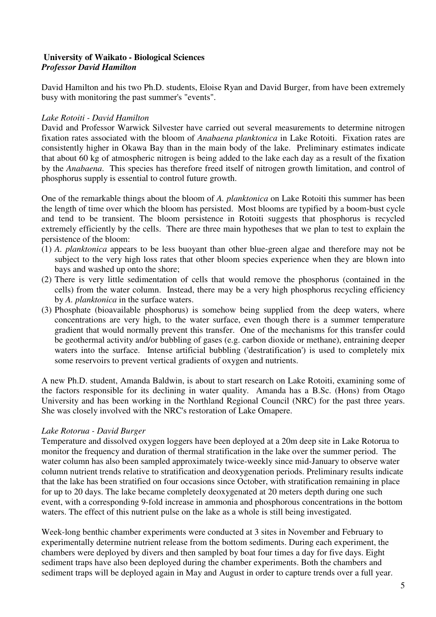#### **University of Waikato - Biological Sciences** *Professor David Hamilton*

David Hamilton and his two Ph.D. students, Eloise Ryan and David Burger, from have been extremely busy with monitoring the past summer's "events".

#### *Lake Rotoiti - David Hamilton*

David and Professor Warwick Silvester have carried out several measurements to determine nitrogen fixation rates associated with the bloom of *Anabaena planktonica* in Lake Rotoiti. Fixation rates are consistently higher in Okawa Bay than in the main body of the lake. Preliminary estimates indicate that about 60 kg of atmospheric nitrogen is being added to the lake each day as a result of the fixation by the *Anabaena*. This species has therefore freed itself of nitrogen growth limitation, and control of phosphorus supply is essential to control future growth.

One of the remarkable things about the bloom of *A. planktonica* on Lake Rotoiti this summer has been the length of time over which the bloom has persisted. Most blooms are typified by a boom-bust cycle and tend to be transient. The bloom persistence in Rotoiti suggests that phosphorus is recycled extremely efficiently by the cells. There are three main hypotheses that we plan to test to explain the persistence of the bloom:

- (1) *A. planktonica* appears to be less buoyant than other blue-green algae and therefore may not be subject to the very high loss rates that other bloom species experience when they are blown into bays and washed up onto the shore;
- (2) There is very little sedimentation of cells that would remove the phosphorus (contained in the cells) from the water column. Instead, there may be a very high phosphorus recycling efficiency by *A. planktonica* in the surface waters.
- (3) Phosphate (bioavailable phosphorus) is somehow being supplied from the deep waters, where concentrations are very high, to the water surface, even though there is a summer temperature gradient that would normally prevent this transfer. One of the mechanisms for this transfer could be geothermal activity and/or bubbling of gases (e.g. carbon dioxide or methane), entraining deeper waters into the surface. Intense artificial bubbling ('destratification') is used to completely mix some reservoirs to prevent vertical gradients of oxygen and nutrients.

A new Ph.D. student, Amanda Baldwin, is about to start research on Lake Rotoiti, examining some of the factors responsible for its declining in water quality. Amanda has a B.Sc. (Hons) from Otago University and has been working in the Northland Regional Council (NRC) for the past three years. She was closely involved with the NRC's restoration of Lake Omapere.

#### *Lake Rotorua - David Burger*

Temperature and dissolved oxygen loggers have been deployed at a 20m deep site in Lake Rotorua to monitor the frequency and duration of thermal stratification in the lake over the summer period. The water column has also been sampled approximately twice-weekly since mid-January to observe water column nutrient trends relative to stratification and deoxygenation periods. Preliminary results indicate that the lake has been stratified on four occasions since October, with stratification remaining in place for up to 20 days. The lake became completely deoxygenated at 20 meters depth during one such event, with a corresponding 9-fold increase in ammonia and phosphorous concentrations in the bottom waters. The effect of this nutrient pulse on the lake as a whole is still being investigated.

Week-long benthic chamber experiments were conducted at 3 sites in November and February to experimentally determine nutrient release from the bottom sediments. During each experiment, the chambers were deployed by divers and then sampled by boat four times a day for five days. Eight sediment traps have also been deployed during the chamber experiments. Both the chambers and sediment traps will be deployed again in May and August in order to capture trends over a full year.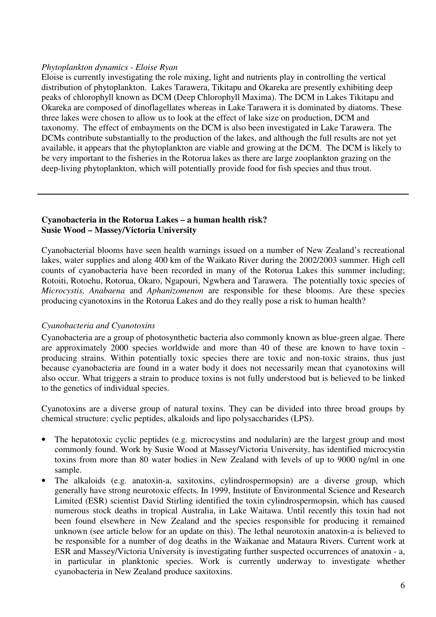#### *Phytoplankton dynamics - Eloise Ryan*

Eloise is currently investigating the role mixing, light and nutrients play in controlling the vertical distribution of phytoplankton. Lakes Tarawera, Tikitapu and Okareka are presently exhibiting deep peaks of chlorophyll known as DCM (Deep Chlorophyll Maxima). The DCM in Lakes Tikitapu and Okareka are composed of dinoflagellates whereas in Lake Tarawera it is dominated by diatoms. These three lakes were chosen to allow us to look at the effect of lake size on production, DCM and taxonomy. The effect of embayments on the DCM is also been investigated in Lake Tarawera. The DCMs contribute substantially to the production of the lakes, and although the full results are not yet available, it appears that the phytoplankton are viable and growing at the DCM. The DCM is likely to be very important to the fisheries in the Rotorua lakes as there are large zooplankton grazing on the deep-living phytoplankton, which will potentially provide food for fish species and thus trout.

#### **Cyanobacteria in the Rotorua Lakes – a human health risk? Susie Wood – Massey/Victoria University**

Cyanobacterial blooms have seen health warnings issued on a number of New Zealand's recreational lakes, water supplies and along 400 km of the Waikato River during the 2002/2003 summer. High cell counts of cyanobacteria have been recorded in many of the Rotorua Lakes this summer including; Rotoiti, Rotoehu, Rotorua, Okaro, Ngapouri, Ngwhera and Tarawera. The potentially toxic species of *Microcystis, Anabaena* and *Aphanizomenon* are responsible for these blooms. Are these species producing cyanotoxins in the Rotorua Lakes and do they really pose a risk to human health?

#### *Cyanobacteria and Cyanotoxins*

Cyanobacteria are a group of photosynthetic bacteria also commonly known as blue-green algae. There are approximately 2000 species worldwide and more than 40 of these are known to have toxin producing strains. Within potentially toxic species there are toxic and non-toxic strains, thus just because cyanobacteria are found in a water body it does not necessarily mean that cyanotoxins will also occur. What triggers a strain to produce toxins is not fully understood but is believed to be linked to the genetics of individual species.

Cyanotoxins are a diverse group of natural toxins. They can be divided into three broad groups by chemical structure: cyclic peptides, alkaloids and lipo polysaccharides (LPS).

- The hepatotoxic cyclic peptides (e.g. microcystins and nodularin) are the largest group and most commonly found. Work by Susie Wood at Massey/Victoria University, has identified microcystin toxins from more than 80 water bodies in New Zealand with levels of up to 9000 ng/ml in one sample.
- The alkaloids (e.g. anatoxin-a, saxitoxins, cylindrospermopsin) are a diverse group, which generally have strong neurotoxic effects. In 1999, Institute of Environmental Science and Research Limited (ESR) scientist David Stirling identified the toxin cylindrospermopsin, which has caused numerous stock deaths in tropical Australia, in Lake Waitawa. Until recently this toxin had not been found elsewhere in New Zealand and the species responsible for producing it remained unknown (see article below for an update on this). The lethal neurotoxin anatoxin-a is believed to be responsible for a number of dog deaths in the Waikanae and Mataura Rivers. Current work at ESR and Massey/Victoria University is investigating further suspected occurrences of anatoxin - a, in particular in planktonic species. Work is currently underway to investigate whether cyanobacteria in New Zealand produce saxitoxins.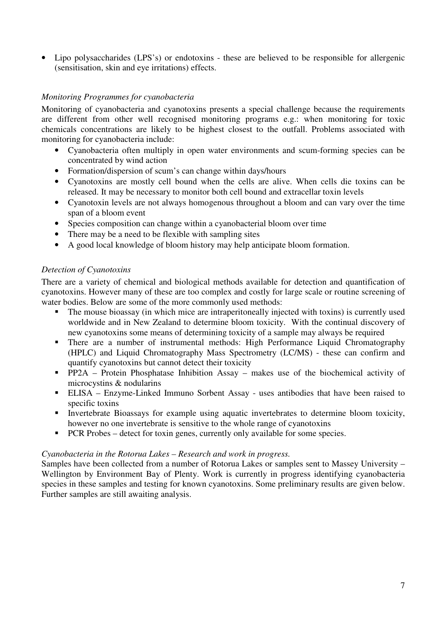• Lipo polysaccharides (LPS's) or endotoxins - these are believed to be responsible for allergenic (sensitisation, skin and eye irritations) effects.

#### *Monitoring Programmes for cyanobacteria*

Monitoring of cyanobacteria and cyanotoxins presents a special challenge because the requirements are different from other well recognised monitoring programs e.g.: when monitoring for toxic chemicals concentrations are likely to be highest closest to the outfall. Problems associated with monitoring for cyanobacteria include:

- Cyanobacteria often multiply in open water environments and scum-forming species can be concentrated by wind action
- Formation/dispersion of scum's can change within days/hours
- Cyanotoxins are mostly cell bound when the cells are alive. When cells die toxins can be released. It may be necessary to monitor both cell bound and extracellar toxin levels
- Cyanotoxin levels are not always homogenous throughout a bloom and can vary over the time span of a bloom event
- Species composition can change within a cyanobacterial bloom over time
- There may be a need to be flexible with sampling sites
- A good local knowledge of bloom history may help anticipate bloom formation.

#### *Detection of Cyanotoxins*

There are a variety of chemical and biological methods available for detection and quantification of cyanotoxins. However many of these are too complex and costly for large scale or routine screening of water bodies. Below are some of the more commonly used methods:

- - The mouse bioassay (in which mice are intraperitoneally injected with toxins) is currently used worldwide and in New Zealand to determine bloom toxicity. With the continual discovery of new cyanotoxins some means of determining toxicity of a sample may always be required
- - There are a number of instrumental methods: High Performance Liquid Chromatography (HPLC) and Liquid Chromatography Mass Spectrometry (LC/MS) - these can confirm and quantify cyanotoxins but cannot detect their toxicity
- **PP2A** Protein Phosphatase Inhibition Assay makes use of the biochemical activity of microcystins & nodularins
- - ELISA – Enzyme-Linked Immuno Sorbent Assay - uses antibodies that have been raised to specific toxins
- $\blacksquare$  . Invertebrate Bioassays for example using aquatic invertebrates to determine bloom toxicity, however no one invertebrate is sensitive to the whole range of cyanotoxins
- -PCR Probes – detect for toxin genes, currently only available for some species.

#### *Cyanobacteria in the Rotorua Lakes – Research and work in progress.*

Samples have been collected from a number of Rotorua Lakes or samples sent to Massey University – Wellington by Environment Bay of Plenty. Work is currently in progress identifying cyanobacteria species in these samples and testing for known cyanotoxins. Some preliminary results are given below. Further samples are still awaiting analysis.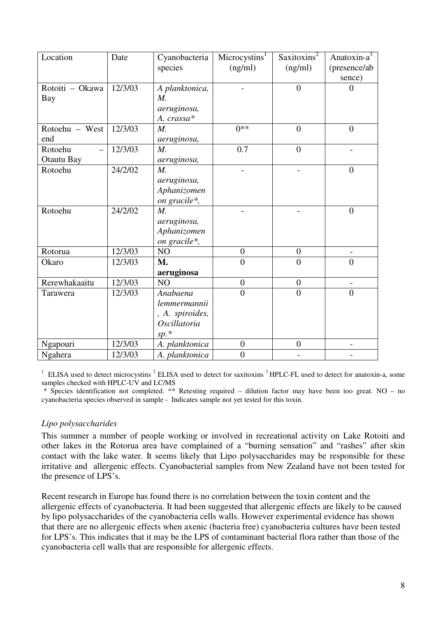| Location        | Date    | Cyanobacteria       | Microcystins <sup>1</sup> | Saxitoxins <sup>2</sup> | Anatoxin- $a^3$ |
|-----------------|---------|---------------------|---------------------------|-------------------------|-----------------|
|                 |         | species             | (ng/ml)                   | (ng/ml)                 | (presence/ab    |
|                 |         |                     |                           |                         | sence)          |
| Rotoiti - Okawa | 12/3/03 | A planktonica,      |                           | $\overline{0}$          | 0               |
| Bay             |         | $M_{\cdot}$         |                           |                         |                 |
|                 |         | aeruginosa,         |                           |                         |                 |
|                 |         | A. crassa*          |                           |                         |                 |
| Rotoehu - West  | 12/3/03 | $M_{\cdot}$         | $0**$                     | $\theta$                | $\overline{0}$  |
| end             |         | aeruginosa,         |                           |                         |                 |
| Rotoehu         | 12/3/03 | $M_{\cdot}$         | 0.7                       | $\overline{0}$          |                 |
| Otautu Bay      |         | aeruginosa,         |                           |                         |                 |
| Rotoehu         | 24/2/02 | $M_{\cdot}$         |                           |                         | $\overline{0}$  |
|                 |         | aeruginosa,         |                           |                         |                 |
|                 |         | Aphanizomen         |                           |                         |                 |
|                 |         | on gracile*,        |                           |                         |                 |
| Rotoehu         | 24/2/02 | $M_{\cdot}$         |                           |                         | $\overline{0}$  |
|                 |         | aeruginosa,         |                           |                         |                 |
|                 |         | Aphanizomen         |                           |                         |                 |
|                 |         | on gracile*,        |                           |                         |                 |
| Rotorua         | 12/3/03 | NO                  | $\overline{0}$            | $\overline{0}$          |                 |
| Okaro           | 12/3/03 | M.                  | $\overline{0}$            | $\overline{0}$          | $\overline{0}$  |
|                 |         | aeruginosa          |                           |                         |                 |
| Rerewhakaaitu   | 12/3/03 | NO                  | $\boldsymbol{0}$          | $\boldsymbol{0}$        |                 |
| Tarawera        | 12/3/03 | Anabaena            | $\theta$                  | $\overline{0}$          | $\overline{0}$  |
|                 |         | lemmermannii        |                           |                         |                 |
|                 |         | , A. spiroides,     |                           |                         |                 |
|                 |         | <i>Oscillatoria</i> |                           |                         |                 |
|                 |         | $sp.*$              |                           |                         |                 |
| Ngapouri        | 12/3/03 | A. planktonica      | $\overline{0}$            | $\overline{0}$          |                 |
| Ngahera         | 12/3/03 | A. planktonica      | $\overline{0}$            |                         |                 |

 $1$  ELISA used to detect microcystins  $2$  ELISA used to detect for saxitoxins  $3$  HPLC-FL used to detect for anatoxin-a, some samples checked with HPLC-UV and LC/MS

\* Species identification not completed. \*\* Retesting required – dilution factor may have been too great. NO – no cyanobacteria species observed in sample - Indicates sample not yet tested for this toxin.

#### *Lipo polysaccharides*

This summer a number of people working or involved in recreational activity on Lake Rotoiti and other lakes in the Rotorua area have complained of a "burning sensation" and "rashes" after skin contact with the lake water. It seems likely that Lipo polysaccharides may be responsible for these irritative and allergenic effects. Cyanobacterial samples from New Zealand have not been tested for the presence of LPS's.

Recent research in Europe has found there is no correlation between the toxin content and the allergenic effects of cyanobacteria. It had been suggested that allergenic effects are likely to be caused by lipo polysaccharides of the cyanobacteria cells walls. However experimental evidence has shown that there are no allergenic effects when axenic (bacteria free) cyanobacteria cultures have been tested for LPS's. This indicates that it may be the LPS of contaminant bacterial flora rather than those of the cyanobacteria cell walls that are responsible for allergenic effects.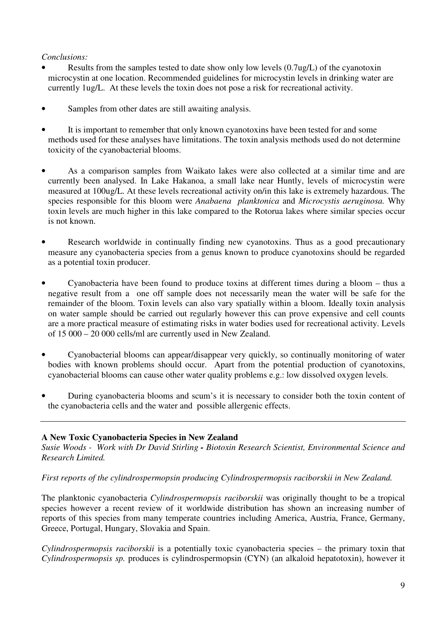#### *Conclusions:*

- Results from the samples tested to date show only low levels (0.7ug/L) of the cyanotoxin microcystin at one location. Recommended guidelines for microcystin levels in drinking water are currently 1ug/L. At these levels the toxin does not pose a risk for recreational activity.
- Samples from other dates are still awaiting analysis.
- It is important to remember that only known cyanotoxins have been tested for and some methods used for these analyses have limitations. The toxin analysis methods used do not determine toxicity of the cyanobacterial blooms.
- As a comparison samples from Waikato lakes were also collected at a similar time and are currently been analysed. In Lake Hakanoa, a small lake near Huntly, levels of microcystin were measured at 100ug/L. At these levels recreational activity on/in this lake is extremely hazardous. The species responsible for this bloom were *Anabaena planktonica* and *Microcystis aeruginosa.* Why toxin levels are much higher in this lake compared to the Rotorua lakes where similar species occur is not known.
- Research worldwide in continually finding new cyanotoxins. Thus as a good precautionary measure any cyanobacteria species from a genus known to produce cyanotoxins should be regarded as a potential toxin producer.
- Cyanobacteria have been found to produce toxins at different times during a bloom thus a negative result from a one off sample does not necessarily mean the water will be safe for the remainder of the bloom. Toxin levels can also vary spatially within a bloom. Ideally toxin analysis on water sample should be carried out regularly however this can prove expensive and cell counts are a more practical measure of estimating risks in water bodies used for recreational activity. Levels of 15 000 – 20 000 cells/ml are currently used in New Zealand.
- Cyanobacterial blooms can appear/disappear very quickly, so continually monitoring of water bodies with known problems should occur. Apart from the potential production of cyanotoxins, cyanobacterial blooms can cause other water quality problems e.g.: low dissolved oxygen levels.
- During cyanobacteria blooms and scum's it is necessary to consider both the toxin content of the cyanobacteria cells and the water and possible allergenic effects.

#### **A New Toxic Cyanobacteria Species in New Zealand**

*Susie Woods - Work with Dr David Stirling - Biotoxin Research Scientist, Environmental Science and Research Limited.*

#### *First reports of the cylindrospermopsin producing Cylindrospermopsis raciborskii in New Zealand.*

The planktonic cyanobacteria *Cylindrospermopsis raciborskii* was originally thought to be a tropical species however a recent review of it worldwide distribution has shown an increasing number of reports of this species from many temperate countries including America, Austria, France, Germany, Greece, Portugal, Hungary, Slovakia and Spain.

*Cylindrospermopsis raciborskii* is a potentially toxic cyanobacteria species – the primary toxin that *Cylindrospermopsis sp.* produces is cylindrospermopsin (CYN) (an alkaloid hepatotoxin), however it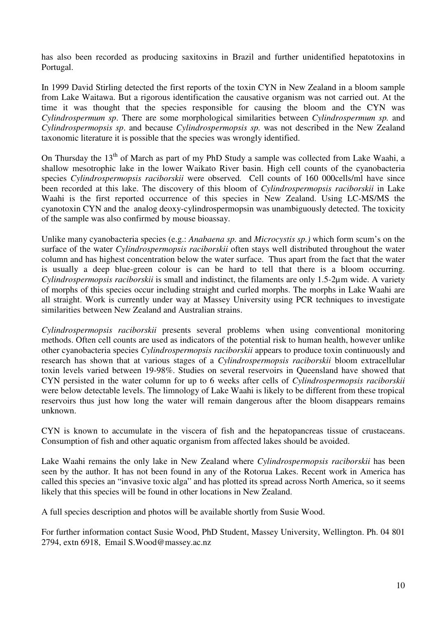has also been recorded as producing saxitoxins in Brazil and further unidentified hepatotoxins in Portugal.

In 1999 David Stirling detected the first reports of the toxin CYN in New Zealand in a bloom sample from Lake Waitawa. But a rigorous identification the causative organism was not carried out. At the time it was thought that the species responsible for causing the bloom and the CYN was *Cylindrospermum sp*. There are some morphological similarities between *Cylindrospermum sp.* and *Cylindrospermopsis sp*. and because *Cylindrospermopsis sp.* was not described in the New Zealand taxonomic literature it is possible that the species was wrongly identified.

On Thursday the 13<sup>th</sup> of March as part of my PhD Study a sample was collected from Lake Waahi, a shallow mesotrophic lake in the lower Waikato River basin. High cell counts of the cyanobacteria species *Cylindrospermopsis raciborskii* were observed*.* Cell counts of 160 000cells/ml have since been recorded at this lake. The discovery of this bloom of *Cylindrospermopsis raciborskii* in Lake Waahi is the first reported occurrence of this species in New Zealand. Using LC-MS/MS the cyanotoxin CYN and the analog deoxy-cylindrospermopsin was unambiguously detected. The toxicity of the sample was also confirmed by mouse bioassay.

Unlike many cyanobacteria species (e.g.: *Anabaena sp.* and *Microcystis sp.)* which form scum's on the surface of the water *Cylindrospermopsis raciborskii* often stays well distributed throughout the water column and has highest concentration below the water surface. Thus apart from the fact that the water is usually a deep blue-green colour is can be hard to tell that there is a bloom occurring. *Cylindrospermopsis raciborskii* is small and indistinct, the filaments are only 1.5-2µm wide. A variety of morphs of this species occur including straight and curled morphs. The morphs in Lake Waahi are all straight. Work is currently under way at Massey University using PCR techniques to investigate similarities between New Zealand and Australian strains.

*Cylindrospermopsis raciborskii* presents several problems when using conventional monitoring methods. Often cell counts are used as indicators of the potential risk to human health, however unlike other cyanobacteria species *Cylindrospermopsis raciborskii* appears to produce toxin continuously and research has shown that at various stages of a *Cylindrospermopsis raciborskii* bloom extracellular toxin levels varied between 19-98%. Studies on several reservoirs in Queensland have showed that CYN persisted in the water column for up to 6 weeks after cells of *Cylindrospermopsis raciborskii* were below detectable levels. The limnology of Lake Waahi is likely to be different from these tropical reservoirs thus just how long the water will remain dangerous after the bloom disappears remains unknown.

CYN is known to accumulate in the viscera of fish and the hepatopancreas tissue of crustaceans. Consumption of fish and other aquatic organism from affected lakes should be avoided.

Lake Waahi remains the only lake in New Zealand where *Cylindrospermopsis raciborskii* has been seen by the author. It has not been found in any of the Rotorua Lakes. Recent work in America has called this species an "invasive toxic alga" and has plotted its spread across North America, so it seems likely that this species will be found in other locations in New Zealand.

A full species description and photos will be available shortly from Susie Wood.

For further information contact Susie Wood, PhD Student, Massey University, Wellington. Ph. 04 801 2794, extn 6918, Email S.Wood@massey.ac.nz